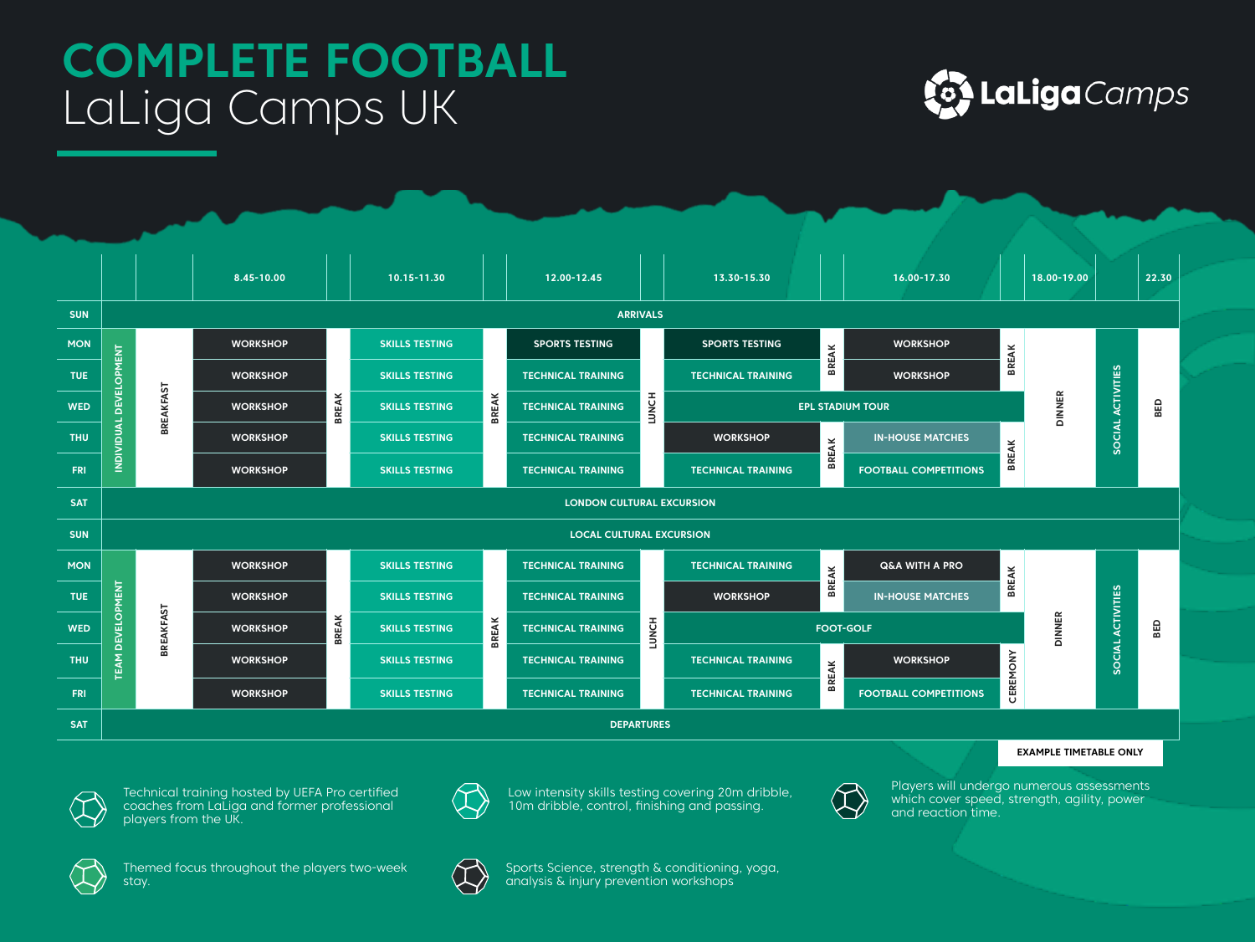## **COMPLETE FOOTBALL**  LaLiga Camps UK





**EXAMPLE TIMETABLE ONLY**



Technical training hosted by UEFA Pro certified coaches from LaLiga and former professional players from the UK.



Low intensity skills testing covering 20m dribble, 10m dribble, control, finishing and passing.



Players will undergo numerous assessments which cover speed, strength, agility, power and reaction time.



Themed focus throughout the players two-week stay.



Sports Science, strength & conditioning, yoga, analysis & injury prevention workshops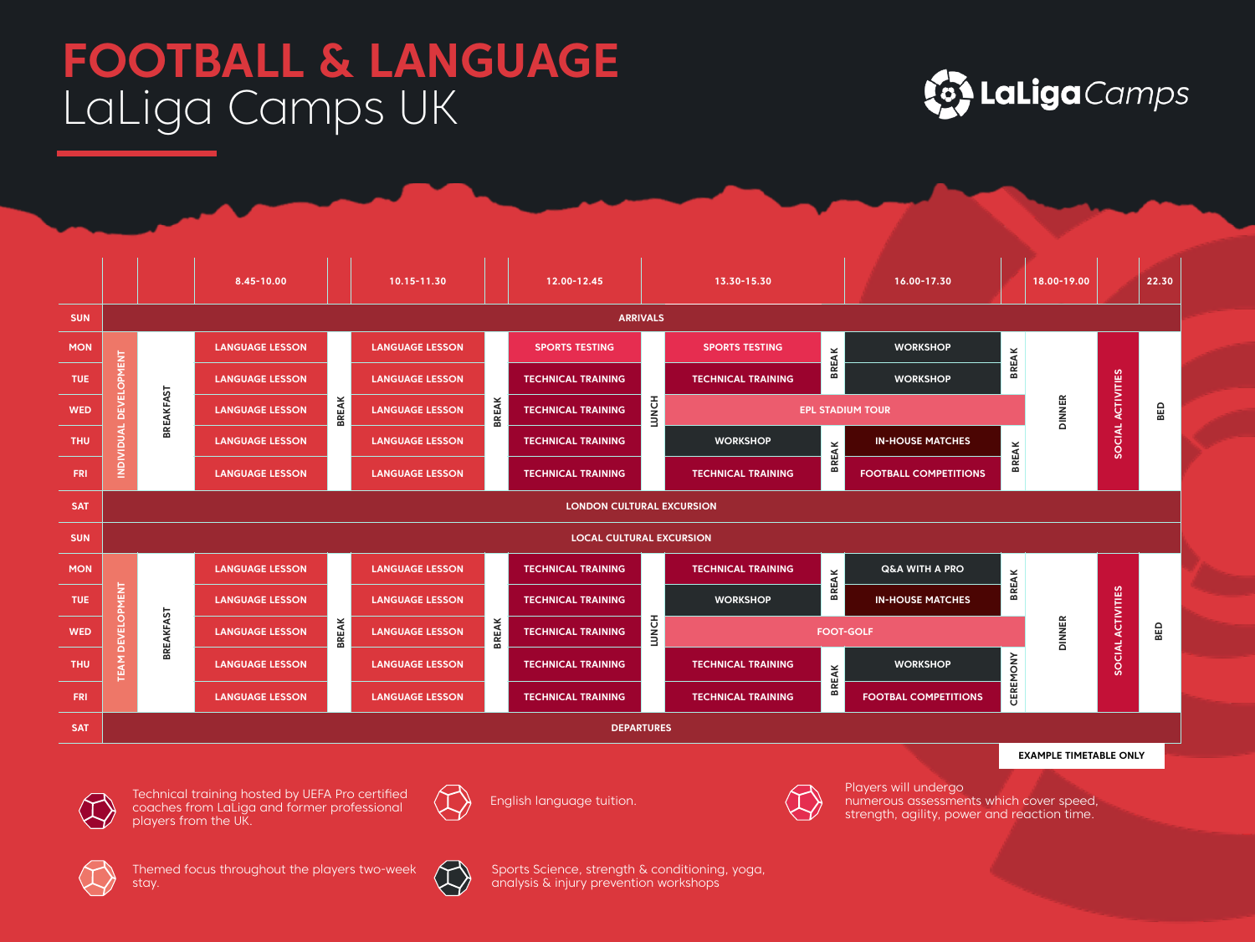## **FOOTBALL & LANGUAGE**  LaLiga Camps UK





Technical training hosted by UEFA Pro certified coaches from LaLiga and former professional players from the UK.

English language tuition.



Players will undergo numerous assessments which cover speed, strength, agility, power and reaction time.



Themed focus throughout the players two-week stay.



Sports Science, strength & conditioning, yoga, analysis & injury prevention workshops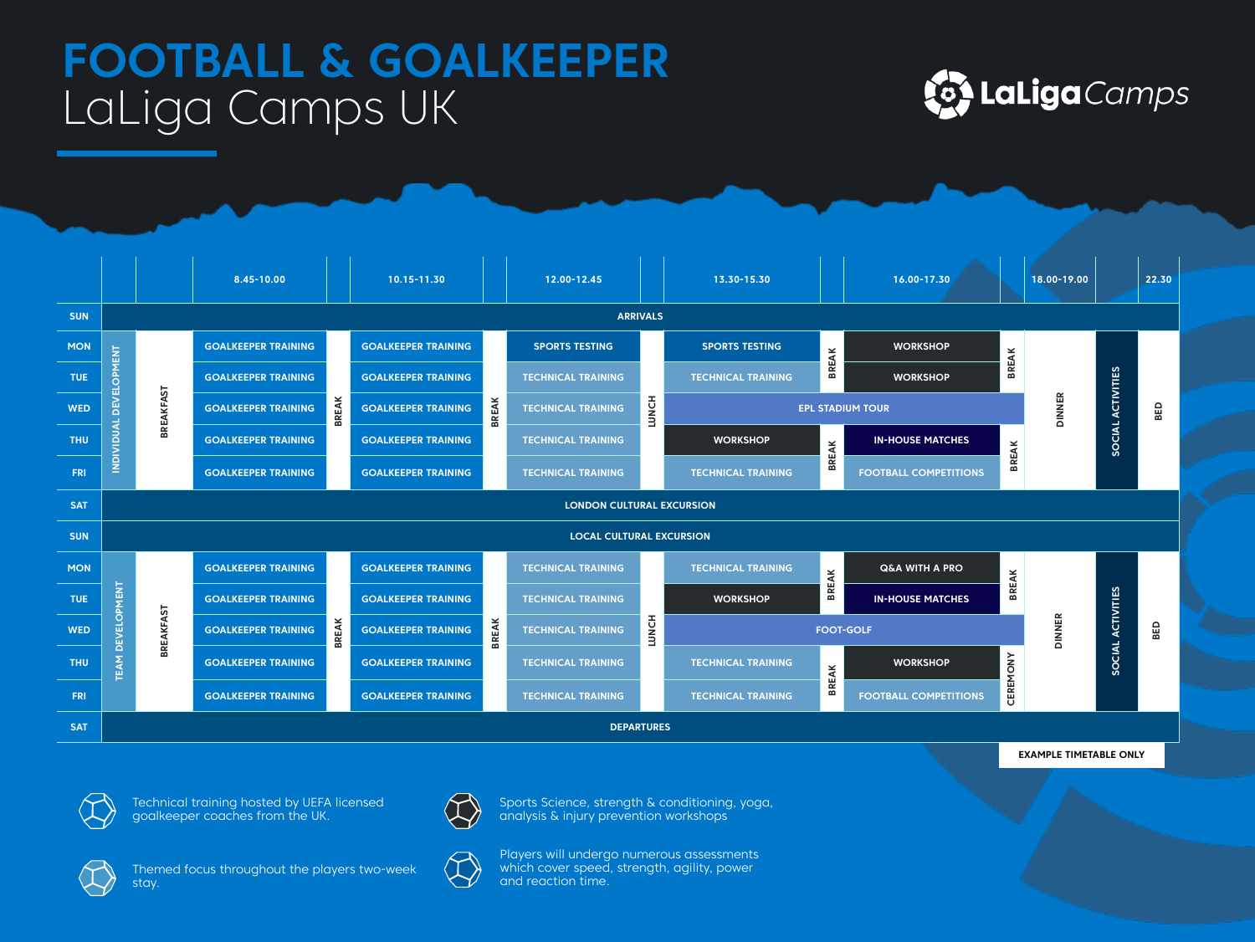## **FOOTBALL & GOALKEEPER**  LaLiga Camps UK





**EXAMPLE TIMETABLE ONLY**



Technical training hosted by UEFA licensed goalkeeper coaches from the UK.



Themed focus throughout the players two-week stay.



Sports Science, strength & conditioning, yoga, analysis & injury prevention workshops

Players will undergo numerous assessments which cover speed, strength, agility, power and reaction time.